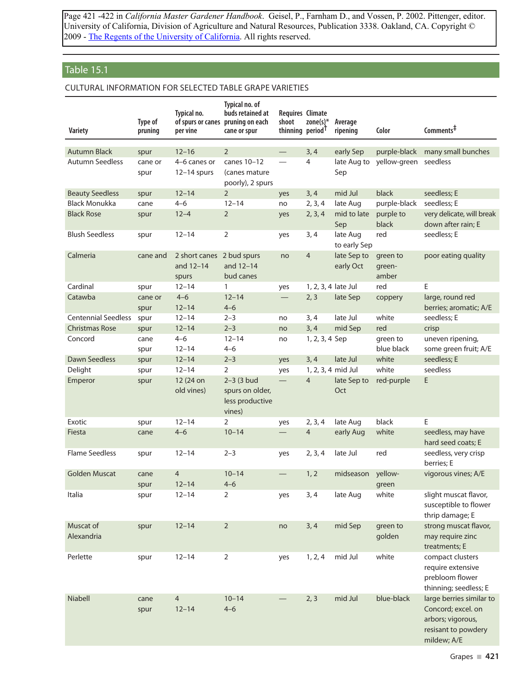Page 421 -422 in *California Master Gardener Handbook*. Geisel, P., Farnham D., and Vossen, P. 2002. Pittenger, editor. University of California, Division of Agriculture and Natural Resources, Publication 3338. Oakland, CA. Copyright © 2009 - The Regents of the University of California. All rights reserved.

## Table 15.1

## Cultural information for selected table grape varieties

| <b>Variety</b>             | Type of<br>pruning | Typical no.<br>per vine                         | Typical no. of<br>buds retained at<br>of spurs or canes pruning on each<br>cane or spur | <b>Requires Climate</b><br>shoot<br>thinning period <sup>T</sup> | zone(s) $*$         | Average<br>ripening      | Color                       | Comments <sup>‡</sup>                                                             |
|----------------------------|--------------------|-------------------------------------------------|-----------------------------------------------------------------------------------------|------------------------------------------------------------------|---------------------|--------------------------|-----------------------------|-----------------------------------------------------------------------------------|
| <b>Autumn Black</b>        | spur               | $12 - 16$                                       | $\overline{2}$                                                                          |                                                                  | 3, 4                | early Sep                | purple-black                | many small bunches                                                                |
| <b>Autumn Seedless</b>     | cane or<br>spur    | 4-6 canes or<br>$12-14$ spurs                   | canes 10-12<br>(canes mature)<br>poorly), 2 spurs                                       |                                                                  | $\overline{4}$      | late Aug to<br>Sep       | yellow-green                | seedless                                                                          |
| <b>Beauty Seedless</b>     | spur               | $12 - 14$                                       | $\overline{2}$                                                                          | yes                                                              | 3, 4                | mid Jul                  | black                       | seedless; E                                                                       |
| <b>Black Monukka</b>       | cane               | $4 - 6$                                         | $12 - 14$                                                                               | no                                                               | 2, 3, 4             | late Aug                 | purple-black                | seedless; E                                                                       |
| <b>Black Rose</b>          | spur               | $12 - 4$                                        | $\overline{2}$                                                                          | yes                                                              | 2, 3, 4             | mid to late<br>Sep       | purple to<br>black          | very delicate, will break<br>down after rain; E                                   |
| <b>Blush Seedless</b>      | spur               | $12 - 14$                                       | $\overline{2}$                                                                          | yes                                                              | 3, 4                | late Aug<br>to early Sep | red                         | seedless; E                                                                       |
| Calmeria                   | cane and           | 2 short canes 2 bud spurs<br>and 12-14<br>spurs | and 12-14<br>bud canes                                                                  | no                                                               | $\overline{4}$      | late Sep to<br>early Oct | green to<br>green-<br>amber | poor eating quality                                                               |
| Cardinal                   | spur               | $12 - 14$                                       | 1                                                                                       | yes                                                              | 1, 2, 3, 4 late Jul |                          | red                         | E                                                                                 |
| Catawba                    | cane or<br>spur    | $4 - 6$<br>$12 - 14$                            | $12 - 14$<br>$4 - 6$                                                                    | $\overline{\phantom{0}}$                                         | 2, 3                | late Sep                 | coppery                     | large, round red<br>berries; aromatic; A/E                                        |
| <b>Centennial Seedless</b> | spur               | $12 - 14$                                       | $2 - 3$                                                                                 | no                                                               | 3, 4                | late Jul                 | white                       | seedless; E                                                                       |
| <b>Christmas Rose</b>      | spur               | $12 - 14$                                       | $2 - 3$                                                                                 | no                                                               | 3, 4                | mid Sep                  | red                         | crisp                                                                             |
| Concord                    | cane<br>spur       | $4 - 6$<br>$12 - 14$                            | $12 - 14$<br>$4 - 6$                                                                    | no                                                               | 1, 2, 3, 4 Sep      |                          | green to<br>blue black      | uneven ripening,<br>some green fruit; A/E                                         |
| Dawn Seedless              | spur               | $12 - 14$                                       | $2 - 3$                                                                                 | yes                                                              | 3, 4                | late Jul                 | white                       | seedless; E                                                                       |
| Delight                    | spur               | $12 - 14$                                       | 2                                                                                       | yes                                                              | 1, 2, 3, 4 mid Jul  |                          | white                       | seedless                                                                          |
| Emperor                    | spur               | 12 (24 on<br>old vines)                         | $2 - 3$ (3 bud<br>spurs on older,<br>less productive<br>vines)                          | $\overline{\phantom{0}}$                                         | $\overline{4}$      | late Sep to<br>Oct       | red-purple                  | E                                                                                 |
| Exotic                     | spur               | $12 - 14$                                       | 2                                                                                       | yes                                                              | 2, 3, 4             | late Aug                 | black                       | E                                                                                 |
| Fiesta                     | cane               | $4 - 6$                                         | $10 - 14$                                                                               |                                                                  | $\overline{4}$      | early Aug                | white                       | seedless, may have<br>hard seed coats: E                                          |
| <b>Flame Seedless</b>      | spur               | $12 - 14$                                       | $2 - 3$                                                                                 | yes                                                              | 2, 3, 4             | late Jul                 | red                         | seedless, very crisp<br>berries: E                                                |
| <b>Golden Muscat</b>       | cane<br>spur       | $\overline{4}$<br>$12 - 14$                     | $10 - 14$<br>$4 - 6$                                                                    | $\qquad \qquad$                                                  | 1, 2                | midseason                | yellow-<br>green            | vigorous vines; A/E                                                               |
| Italia                     | spur               | $12 - 14$                                       | $\overline{2}$                                                                          | yes                                                              | 3, 4                | late Aug                 | white                       | slight muscat flavor,<br>susceptible to flower<br>thrip damage; E                 |
| Muscat of<br>Alexandria    | spur               | $12 - 14$                                       | $\sqrt{2}$                                                                              | no                                                               | 3, 4                | mid Sep                  | green to<br>golden          | strong muscat flavor,<br>may require zinc<br>treatments; E                        |
| Perlette                   | spur               | $12 - 14$                                       | $\overline{2}$                                                                          | yes                                                              | 1, 2, 4             | mid Jul                  | white                       | compact clusters<br>require extensive<br>prebloom flower<br>thinning; seedless; E |
| Niabell                    | cane               | $\overline{4}$                                  | $10 - 14$                                                                               |                                                                  | 2, 3                | mid Jul                  | blue-black                  | large berries similar to                                                          |
|                            | spur               | $12 - 14$                                       | $4 - 6$                                                                                 |                                                                  |                     |                          |                             | Concord; excel. on<br>arbors; vigorous,                                           |
|                            |                    |                                                 |                                                                                         |                                                                  |                     |                          |                             | resisant to powdery<br>mildew; A/E                                                |